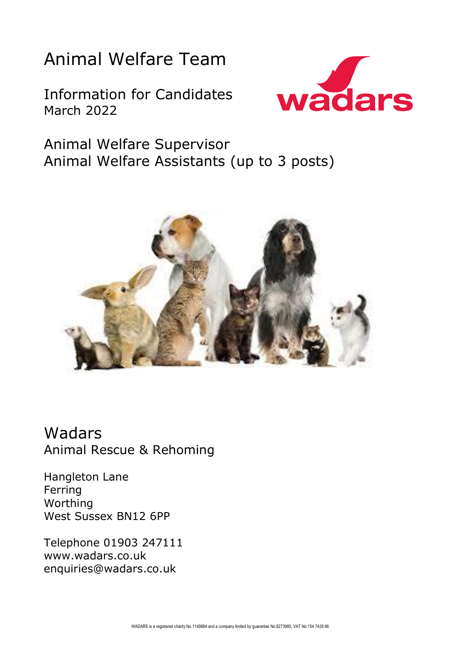# Animal Welfare Team

Information for Candidates March 2022



Animal Welfare Supervisor Animal Welfare Assistants (up to 3 posts)



Wadars Animal Rescue & Rehoming

Hangleton Lane Ferring Worthing West Sussex BN12 6PP

Telephone 01903 247111 www.wadars.co.uk enquiries@wadars.co.uk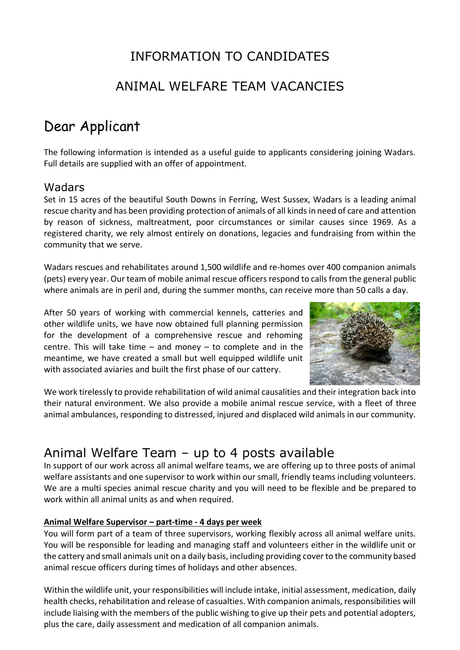## INFORMATION TO CANDIDATES

### ANIMAL WELFARE TEAM VACANCIES

## Dear Applicant

The following information is intended as a useful guide to applicants considering joining Wadars. Full details are supplied with an offer of appointment.

#### Wadars

Set in 15 acres of the beautiful South Downs in Ferring, West Sussex, Wadars is a leading animal rescue charity and has been providing protection of animals of all kinds in need of care and attention by reason of sickness, maltreatment, poor circumstances or similar causes since 1969. As a registered charity, we rely almost entirely on donations, legacies and fundraising from within the community that we serve.

Wadars rescues and rehabilitates around 1,500 wildlife and re-homes over 400 companion animals (pets) every year. Our team of mobile animal rescue officers respond to calls from the general public where animals are in peril and, during the summer months, can receive more than 50 calls a day.

After 50 years of working with commercial kennels, catteries and other wildlife units, we have now obtained full planning permission for the development of a comprehensive rescue and rehoming centre. This will take time  $-$  and money  $-$  to complete and in the meantime, we have created a small but well equipped wildlife unit with associated aviaries and built the first phase of our cattery.



We work tirelessly to provide rehabilitation of wild animal causalities and their integration back into their natural environment. We also provide a mobile animal rescue service, with a fleet of three animal ambulances, responding to distressed, injured and displaced wild animals in our community.

## Animal Welfare Team – up to 4 posts available

In support of our work across all animal welfare teams, we are offering up to three posts of animal welfare assistants and one supervisor to work within our small, friendly teams including volunteers. We are a multi species animal rescue charity and you will need to be flexible and be prepared to work within all animal units as and when required.

#### **Animal Welfare Supervisor – part-time - 4 days per week**

You will form part of a team of three supervisors, working flexibly across all animal welfare units. You will be responsible for leading and managing staff and volunteers either in the wildlife unit or the cattery and small animals unit on a daily basis, including providing cover to the community based animal rescue officers during times of holidays and other absences.

Within the wildlife unit, your responsibilities will include intake, initial assessment, medication, daily health checks, rehabilitation and release of casualties. With companion animals, responsibilities will include liaising with the members of the public wishing to give up their pets and potential adopters, plus the care, daily assessment and medication of all companion animals.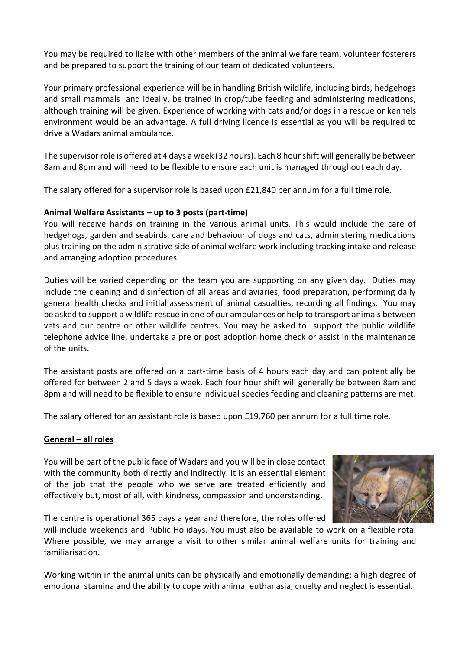You may be required to liaise with other members of the animal welfare team, volunteer fosterers and be prepared to support the training of our team of dedicated volunteers.

Your primary professional experience will be in handling British wildlife, including birds, hedgehogs and small mammals and ideally, be trained in crop/tube feeding and administering medications, although training will be given. Experience of working with cats and/or dogs in a rescue or kennels environment would be an advantage. A full driving licence is essential as you will be required to drive a Wadars animal ambulance.

The supervisor role is offered at 4 days a week (32 hours). Each 8 hour shift will generally be between 8am and 8pm and will need to be flexible to ensure each unit is managed throughout each day.

The salary offered for a supervisor role is based upon £21,840 per annum for a full time role.

#### **Animal Welfare Assistants – up to 3 posts (part-time)**

You will receive hands on training in the various animal units. This would include the care of hedgehogs, garden and seabirds, care and behaviour of dogs and cats, administering medications plus training on the administrative side of animal welfare work including tracking intake and release and arranging adoption procedures.

Duties will be varied depending on the team you are supporting on any given day. Duties may include the cleaning and disinfection of all areas and aviaries, food preparation, performing daily general health checks and initial assessment of animal casualties, recording all findings. You may be asked to support a wildlife rescue in one of our ambulances or help to transport animals between vets and our centre or other wildlife centres. You may be asked to support the public wildlife telephone advice line, undertake a pre or post adoption home check or assist in the maintenance of the units.

The assistant posts are offered on a part-time basis of 4 hours each day and can potentially be offered for between 2 and 5 days a week. Each four hour shift will generally be between 8am and 8pm and will need to be flexible to ensure individual species feeding and cleaning patterns are met.

The salary offered for an assistant role is based upon £19,760 per annum for a full time role.

#### **General – all roles**

You will be part of the public face of Wadars and you will be in close contact with the community both directly and indirectly. It is an essential element of the job that the people who we serve are treated efficiently and effectively but, most of all, with kindness, compassion and understanding.



The centre is operational 365 days a year and therefore, the roles offered

will include weekends and Public Holidays. You must also be available to work on a flexible rota. Where possible, we may arrange a visit to other similar animal welfare units for training and familiarisation.

Working within in the animal units can be physically and emotionally demanding; a high degree of emotional stamina and the ability to cope with animal euthanasia, cruelty and neglect is essential.